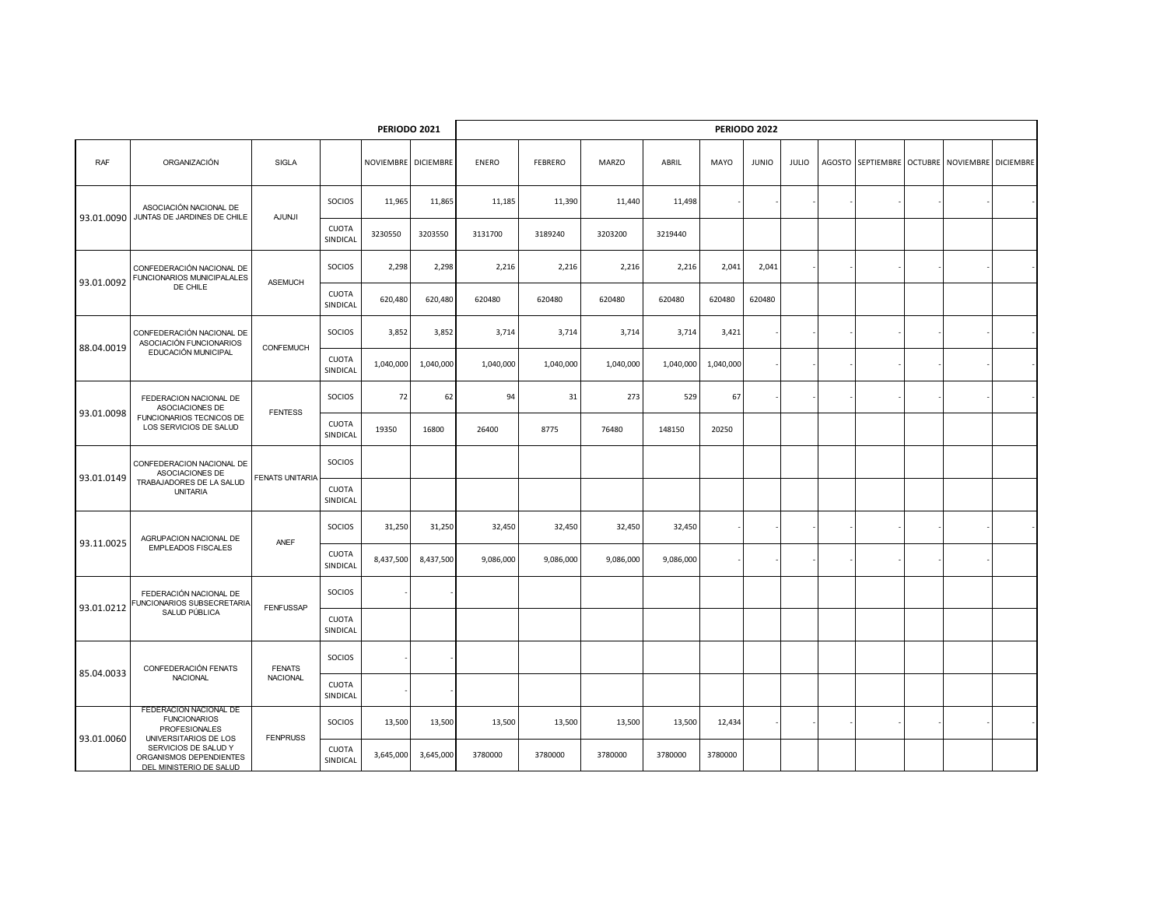|            |                                                                                                     | <b>PERIODO 2022</b>    |                          |                     |           |           |                |           |           |           |              |              |  |                   |  |                             |  |
|------------|-----------------------------------------------------------------------------------------------------|------------------------|--------------------------|---------------------|-----------|-----------|----------------|-----------|-----------|-----------|--------------|--------------|--|-------------------|--|-----------------------------|--|
| <b>RAF</b> | ORGANIZACIÓN                                                                                        | SIGLA                  |                          | NOVIEMBRE DICIEMBRE |           | ENERO     | <b>FEBRERO</b> | MARZO     | ABRIL     | MAYO      | <b>JUNIO</b> | <b>JULIO</b> |  | AGOSTO SEPTIEMBRE |  | OCTUBRE NOVIEMBRE DICIEMBRE |  |
| 93.01.0090 | ASOCIACIÓN NACIONAL DE<br>JUNTAS DE JARDINES DE CHILE                                               | <b>AJUNJI</b>          | SOCIOS                   | 11,965              | 11,865    | 11,185    | 11,390         | 11,440    | 11,498    |           |              |              |  |                   |  |                             |  |
|            |                                                                                                     |                        | <b>CUOTA</b><br>SINDICAL | 3230550             | 3203550   | 3131700   | 3189240        | 3203200   | 3219440   |           |              |              |  |                   |  |                             |  |
| 93.01.0092 | CONFEDERACIÓN NACIONAL DE<br>FUNCIONARIOS MUNICIPALALES<br>DE CHILE                                 | <b>ASEMUCH</b>         | SOCIOS                   | 2,298               | 2,298     | 2,216     | 2,216          | 2,216     | 2,216     | 2,041     | 2,041        |              |  |                   |  |                             |  |
|            |                                                                                                     |                        | <b>CUOTA</b><br>SINDICAL | 620,480             | 620,480   | 620480    | 620480         | 620480    | 620480    | 620480    | 620480       |              |  |                   |  |                             |  |
| 88.04.0019 | CONFEDERACIÓN NACIONAL DE<br>ASOCIACIÓN FUNCIONARIOS<br>EDUCACIÓN MUNICIPAL                         | CONFEMUCH              | SOCIOS                   | 3,852               | 3,852     | 3,714     | 3,714          | 3,714     | 3,714     | 3,421     |              |              |  |                   |  |                             |  |
|            |                                                                                                     |                        | <b>CUOTA</b><br>SINDICAL | 1,040,000           | 1,040,000 | 1,040,000 | 1,040,000      | 1,040,000 | 1,040,000 | 1,040,000 |              |              |  |                   |  |                             |  |
| 93.01.0098 | FEDERACION NACIONAL DE<br>ASOCIACIONES DE                                                           | <b>FENTESS</b>         | SOCIOS                   | 72                  | 62        | 94        | 31             | 273       | 529       | 67        |              |              |  |                   |  |                             |  |
|            | FUNCIONARIOS TECNICOS DE<br>LOS SERVICIOS DE SALUD                                                  |                        | <b>CUOTA</b><br>SINDICAL | 19350               | 16800     | 26400     | 8775           | 76480     | 148150    | 20250     |              |              |  |                   |  |                             |  |
|            | CONFEDERACION NACIONAL DE<br>ASOCIACIONES DE<br>TRABAJADORES DE LA SALUD<br><b>UNITARIA</b>         | <b>FENATS UNITARIA</b> | SOCIOS                   |                     |           |           |                |           |           |           |              |              |  |                   |  |                             |  |
| 93.01.0149 |                                                                                                     |                        | <b>CUOTA</b><br>SINDICAL |                     |           |           |                |           |           |           |              |              |  |                   |  |                             |  |
|            | AGRUPACION NACIONAL DE<br><b>EMPLEADOS FISCALES</b>                                                 | ANEF                   | <b>SOCIOS</b>            | 31,250              | 31,250    | 32,450    | 32,450         | 32,450    | 32,450    |           |              |              |  |                   |  |                             |  |
| 93.11.0025 |                                                                                                     |                        | CUOTA<br>SINDICAL        | 8,437,500           | 8,437,500 | 9,086,000 | 9,086,000      | 9,086,000 | 9,086,000 |           |              |              |  |                   |  |                             |  |
|            | FEDERACIÓN NACIONAL DE<br>UNCIONARIOS SUBSECRETARIA<br>SALUD PÚBLICA                                | <b>FENFUSSAP</b>       | SOCIOS                   |                     |           |           |                |           |           |           |              |              |  |                   |  |                             |  |
| 93.01.0212 |                                                                                                     |                        | <b>CUOTA</b><br>SINDICAL |                     |           |           |                |           |           |           |              |              |  |                   |  |                             |  |
| 85.04.0033 | CONFEDERACIÓN FENATS                                                                                | <b>FENATS</b>          | SOCIOS                   |                     |           |           |                |           |           |           |              |              |  |                   |  |                             |  |
|            | NACIONAL                                                                                            | NACIONAL               | <b>CUOTA</b><br>SINDICAL |                     |           |           |                |           |           |           |              |              |  |                   |  |                             |  |
| 93.01.0060 | FEDERACION NACIONAL DE<br><b>FUNCIONARIOS</b><br><b>PROFESIONALES</b>                               | <b>FENPRUSS</b>        | SOCIOS                   | 13,500              | 13,500    | 13,500    | 13,500         | 13,500    | 13,500    | 12,434    |              |              |  |                   |  |                             |  |
|            | UNIVERSITARIOS DE LOS<br>SERVICIOS DE SALUD Y<br>ORGANISMOS DEPENDIENTES<br>DEL MINISTERIO DE SALUD |                        | CUOTA<br>SINDICAL        | 3,645,000           | 3,645,000 | 3780000   | 3780000        | 3780000   | 3780000   | 3780000   |              |              |  |                   |  |                             |  |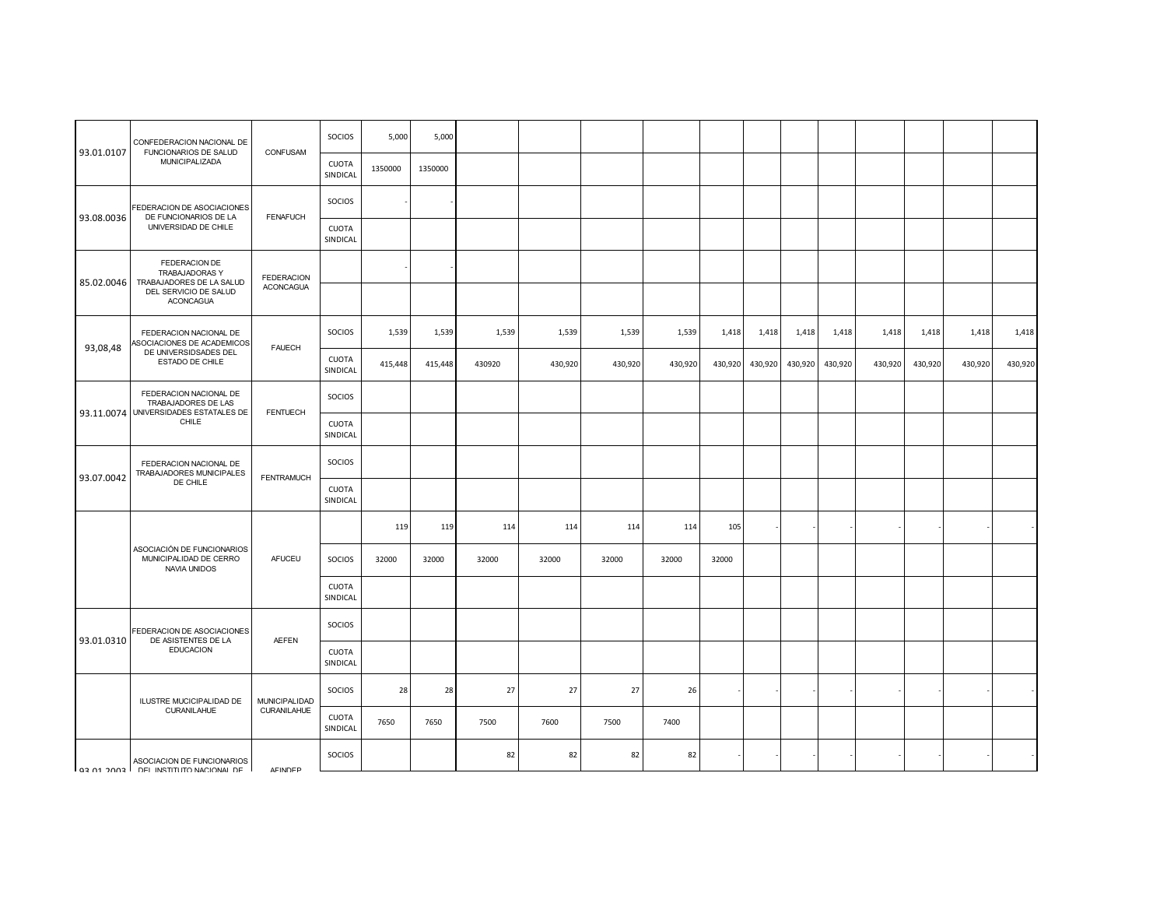|            | CONFEDERACION NACIONAL DE<br>FUNCIONARIOS DE SALUD<br>MUNICIPALIZADA                                            | CONFUSAM                            | <b>SOCIOS</b>            | 5,000   | 5,000   |        |         |         |         |         |         |         |         |         |         |         |         |
|------------|-----------------------------------------------------------------------------------------------------------------|-------------------------------------|--------------------------|---------|---------|--------|---------|---------|---------|---------|---------|---------|---------|---------|---------|---------|---------|
| 93.01.0107 |                                                                                                                 |                                     | <b>CUOTA</b><br>SINDICAL | 1350000 | 1350000 |        |         |         |         |         |         |         |         |         |         |         |         |
| 93.08.0036 | FEDERACION DE ASOCIACIONES<br>DE FUNCIONARIOS DE LA<br>UNIVERSIDAD DE CHILE                                     | <b>FENAFUCH</b>                     | SOCIOS                   |         |         |        |         |         |         |         |         |         |         |         |         |         |         |
|            |                                                                                                                 |                                     | <b>CUOTA</b><br>SINDICAL |         |         |        |         |         |         |         |         |         |         |         |         |         |         |
| 85.02.0046 | FEDERACION DE<br><b>TRABAJADORAS Y</b><br>TRABAJADORES DE LA SALUD<br>DEL SERVICIO DE SALUD<br><b>ACONCAGUA</b> | <b>FEDERACION</b>                   |                          |         |         |        |         |         |         |         |         |         |         |         |         |         |         |
|            |                                                                                                                 | <b>ACONCAGUA</b>                    |                          |         |         |        |         |         |         |         |         |         |         |         |         |         |         |
| 93,08,48   | FEDERACION NACIONAL DE<br>ASOCIACIONES DE ACADEMICOS<br>DE UNIVERSIDSADES DEL<br>ESTADO DE CHILE                | <b>FAUECH</b>                       | SOCIOS                   | 1,539   | 1,539   | 1,539  | 1,539   | 1,539   | 1,539   | 1,418   | 1,418   | 1,418   | 1,418   | 1,418   | 1,418   | 1,418   | 1,418   |
|            |                                                                                                                 |                                     | <b>CUOTA</b><br>SINDICAL | 415,448 | 415,448 | 430920 | 430,920 | 430,920 | 430,920 | 430,920 | 430,920 | 430,920 | 430,920 | 430,920 | 430,920 | 430,920 | 430,920 |
|            | FEDERACION NACIONAL DE<br><b>TRABAJADORES DE LAS</b><br>93.11.0074 UNIVERSIDADES ESTATALES DE<br>CHILE          | <b>FENTUECH</b>                     | SOCIOS                   |         |         |        |         |         |         |         |         |         |         |         |         |         |         |
|            |                                                                                                                 |                                     | <b>CUOTA</b><br>SINDICAL |         |         |        |         |         |         |         |         |         |         |         |         |         |         |
|            | FEDERACION NACIONAL DE<br>TRABAJADORES MUNICIPALES<br>DE CHILE                                                  | <b>FENTRAMUCH</b>                   | SOCIOS                   |         |         |        |         |         |         |         |         |         |         |         |         |         |         |
| 93.07.0042 |                                                                                                                 |                                     | <b>CUOTA</b><br>SINDICAL |         |         |        |         |         |         |         |         |         |         |         |         |         |         |
|            |                                                                                                                 |                                     |                          | 119     | 119     | 114    | 114     | 114     | 114     | 105     |         |         |         |         |         |         |         |
|            | ASOCIACIÓN DE FUNCIONARIOS<br>MUNICIPALIDAD DE CERRO<br>NAVIA UNIDOS                                            | AFUCEU                              | SOCIOS                   | 32000   | 32000   | 32000  | 32000   | 32000   | 32000   | 32000   |         |         |         |         |         |         |         |
|            |                                                                                                                 |                                     | CUOTA<br>SINDICAL        |         |         |        |         |         |         |         |         |         |         |         |         |         |         |
|            | FEDERACION DE ASOCIACIONES                                                                                      |                                     | SOCIOS                   |         |         |        |         |         |         |         |         |         |         |         |         |         |         |
| 93.01.0310 | DE ASISTENTES DE LA<br><b>EDUCACION</b>                                                                         | <b>AEFEN</b>                        | <b>CUOTA</b><br>SINDICAL |         |         |        |         |         |         |         |         |         |         |         |         |         |         |
|            | ILUSTRE MUCICIPALIDAD DE<br>CURANILAHUE                                                                         | <b>MUNICIPALIDAD</b><br>CURANILAHUE | SOCIOS                   | 28      | 28      | 27     | 27      | 27      | 26      |         |         |         |         |         |         |         |         |
|            |                                                                                                                 |                                     | <b>CUOTA</b><br>SINDICAL | 7650    | 7650    | 7500   | 7600    | 7500    | 7400    |         |         |         |         |         |         |         |         |
|            | ASOCIACION DE FUNCIONARIOS<br>OR INSTITUTIONAL OF LINES IT ON COOK PO CO.                                       | AFINDER                             | SOCIOS                   |         |         | 82     | 82      | 82      | 82      |         |         |         |         |         |         |         |         |